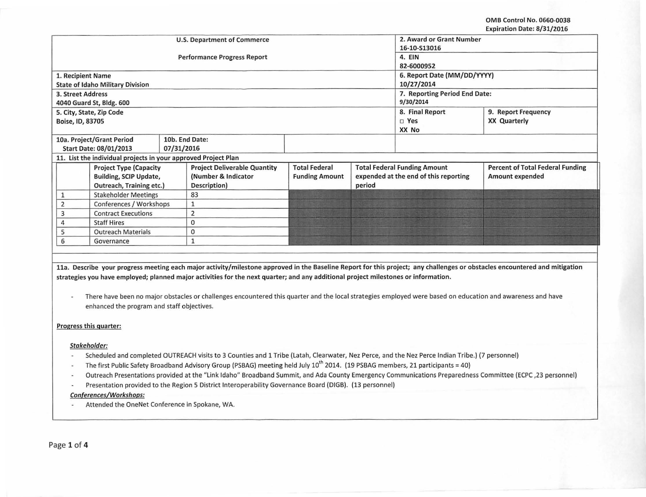|                                                                |                                         |            | <b>U.S. Department of Commerce</b>  | 2. Award or Grant Number      |                                       |                 |                                         |
|----------------------------------------------------------------|-----------------------------------------|------------|-------------------------------------|-------------------------------|---------------------------------------|-----------------|-----------------------------------------|
|                                                                |                                         |            |                                     | 16-10-S13016                  |                                       |                 |                                         |
|                                                                |                                         |            | <b>Performance Progress Report</b>  | 4. EIN                        |                                       |                 |                                         |
|                                                                |                                         |            |                                     | 82-6000952                    |                                       |                 |                                         |
| 1. Recipient Name                                              |                                         |            |                                     | 6. Report Date (MM/DD/YYYY)   |                                       |                 |                                         |
|                                                                | <b>State of Idaho Military Division</b> |            |                                     | 10/27/2014                    |                                       |                 |                                         |
| 3. Street Address                                              |                                         |            |                                     | 7. Reporting Period End Date: |                                       |                 |                                         |
|                                                                | 4040 Guard St, Bldg. 600                |            |                                     | 9/30/2014                     |                                       |                 |                                         |
| 5. City, State, Zip Code                                       |                                         |            |                                     |                               |                                       | 8. Final Report | 9. Report Frequency                     |
| Boise, ID, 83705                                               |                                         |            |                                     |                               |                                       | $\Box$ Yes      | <b>XX Quarterly</b>                     |
|                                                                |                                         |            |                                     |                               |                                       | XX No           |                                         |
|                                                                | 10a. Project/Grant Period               |            | 10b. End Date:                      |                               |                                       |                 |                                         |
|                                                                | Start Date: 08/01/2013                  | 07/31/2016 |                                     |                               |                                       |                 |                                         |
| 11. List the individual projects in your approved Project Plan |                                         |            |                                     |                               |                                       |                 |                                         |
| <b>Project Type (Capacity</b>                                  |                                         |            | <b>Project Deliverable Quantity</b> | <b>Total Federal</b>          | <b>Total Federal Funding Amount</b>   |                 | <b>Percent of Total Federal Funding</b> |
|                                                                | <b>Building, SCIP Update,</b>           |            | (Number & Indicator                 | <b>Funding Amount</b>         | expended at the end of this reporting |                 | Amount expended                         |
|                                                                | Outreach, Training etc.)                |            | Description)                        |                               | period                                |                 |                                         |
|                                                                | <b>Stakeholder Meetings</b>             |            | 83                                  |                               |                                       |                 |                                         |
|                                                                | Conferences / Workshops                 |            |                                     |                               |                                       |                 |                                         |
| <b>Contract Executions</b><br>3                                |                                         | 2          |                                     |                               |                                       |                 |                                         |
| <b>Staff Hires</b>                                             |                                         | $\Omega$   |                                     |                               |                                       |                 |                                         |
| <b>Outreach Materials</b>                                      |                                         | 0          |                                     |                               |                                       |                 |                                         |
| 6<br>Governance                                                |                                         |            |                                     |                               |                                       |                 |                                         |
|                                                                |                                         |            |                                     |                               |                                       |                 |                                         |

11a. Describe your progress meeting each major activity/milestone approved in the Baseline Report for this project; any challenges or obstacles encountered and mitigation strategies you have employed; planned major activities for the next quarter; and any additional project milestones or information.

There have been no major obstacles or challenges encountered this quarter and the local strategies employed were based on education and awareness and have  $\overline{\phantom{a}}$ enhanced the program and staff objectives.

### Progress this quarter:

#### Stakeholder:

- Scheduled and completed OUTREACH visits to 3 Counties and 1 Tribe (Latah, Clearwater, Nez Perce, and the Nez Perce Indian Tribe.) (7 personnel)
- The first Public Safety Broadband Advisory Group (PSBAG) meeting held July 10<sup>th</sup> 2014. (19 PSBAG members, 21 participants = 40)
- Outreach Presentations provided at the "link Idaho" Broadband Summit, and Ada County Emergency Communications Preparedness Committee (ECPC ,23 personnel)
- Presentation provided to the Region 5 District lnteroperability Governance Board (DIGB}. (13 personnel)

## Conferences/Workshops:

Attended the OneNet Conference in Spokane, WA.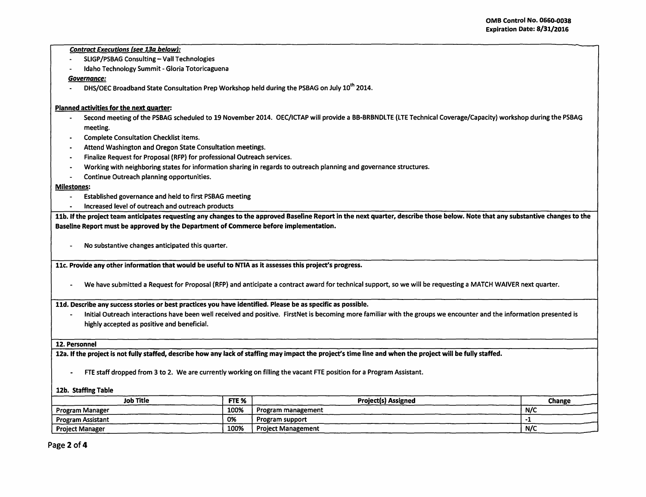### **Contract Executions (see 13a below):**

- SUGP/PSBAG Consulting- Vall Technologies
- Idaho Technology Summit- Gloria Totoricaguena

# *Governance:*

DHS/OEC Broadband State Consultation Prep Workshop held during the PSBAG on July 10<sup>th</sup> 2014.

# Planned activities for the next guarter:

- Second meeting of the PSBAG scheduled to 19 November 2014. OEC/ICTAP will provide a BB-BRBNDLTE (LTE Technical Coverage/Capacity) workshop during the PSBAG meeting.
- Complete Consultation Checklist items.
- Attend Washington and Oregon State Consultation meetings.
- Finalize Request for Proposal (RFP) for professional Outreach services.
- Working with neighboring states for information sharing in regards to outreach planning and governance structures.<br>- Continue Outreach planning opportunities
- Continue Outreach planning opportunities.

### Milestones:

- Established governance and held to first PSBAG meeting
- Increased level of outreach and outreach products

11b. If the project team anticipates requesting any changes to the approved Baseline Report in the next quarter, describe those below. Note that any substantive changes to the Baseline Report must be approved by the Department of Commerce before implementation.

- No substantive changes anticipated this quarter.

11c. Provide any other information that would be useful to NTIA as it assesses this project's progress.

- We have submitted a Request for Proposal {RFP) and anticipate a contract award for technical support, so we will be requesting a MATCH WAIVER next quarter.

11d. Describe any success stories or best practices you have identified. Please be as specific as possible.

- Initial Outreach interactions have been well received and positive. FirstNet is becoming more familiar with the groups we encounter and the information presented is highly accepted as positive and beneficial.

### 12. Personnel

12a. If the project is not fully staffed, describe how any lack of staffing may impact the project's time line and when the project will be fully staffed.

- FTE staff dropped from 3 to 2. We are currently working on filling the vacant FTE position for a Program Assistant.

### 12b. Staffing Table

|                           | <b>Change</b> |
|---------------------------|---------------|
| Program management        | N/C           |
| Program support           |               |
| <b>Project Management</b> | N/C           |
|                           |               |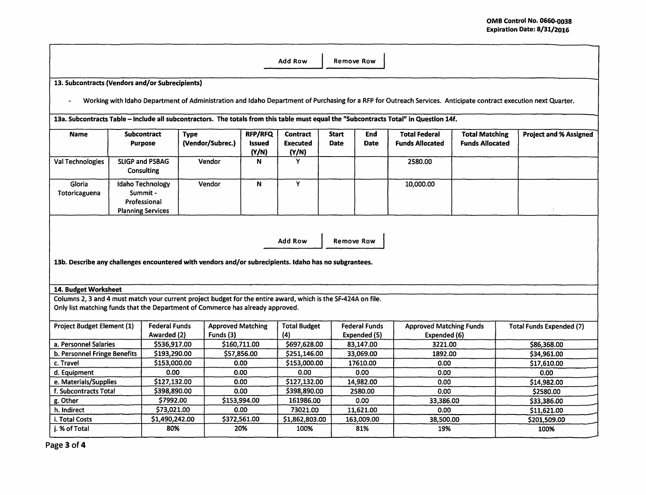| 13. Subcontracts (Vendors and/or Subrecipients)                                                                                                                                                                                                                                                                                                                                                                                                                                                                                                     |                          |                              |                          |                        |                              |                            |                                                                                                                                                                 |                        |                                 |
|-----------------------------------------------------------------------------------------------------------------------------------------------------------------------------------------------------------------------------------------------------------------------------------------------------------------------------------------------------------------------------------------------------------------------------------------------------------------------------------------------------------------------------------------------------|--------------------------|------------------------------|--------------------------|------------------------|------------------------------|----------------------------|-----------------------------------------------------------------------------------------------------------------------------------------------------------------|------------------------|---------------------------------|
|                                                                                                                                                                                                                                                                                                                                                                                                                                                                                                                                                     |                          |                              |                          |                        |                              |                            |                                                                                                                                                                 |                        |                                 |
|                                                                                                                                                                                                                                                                                                                                                                                                                                                                                                                                                     |                          |                              |                          |                        |                              |                            | Working with Idaho Department of Administration and Idaho Department of Purchasing for a RFP for Outreach Services. Anticipate contract execution next Quarter. |                        |                                 |
|                                                                                                                                                                                                                                                                                                                                                                                                                                                                                                                                                     |                          |                              |                          |                        |                              |                            | 13a. Subcontracts Table - Include all subcontractors. The totals from this table must equal the "Subcontracts Total" in Question 14f.                           |                        |                                 |
|                                                                                                                                                                                                                                                                                                                                                                                                                                                                                                                                                     |                          |                              |                          |                        |                              |                            |                                                                                                                                                                 |                        |                                 |
| <b>Name</b>                                                                                                                                                                                                                                                                                                                                                                                                                                                                                                                                         | <b>Subcontract</b>       | <b>Type</b>                  |                          | <b>RFP/RFQ</b>         | <b>Contract</b>              | <b>Start</b><br>End        | <b>Total Federal</b>                                                                                                                                            | <b>Total Matching</b>  | <b>Project and % Assigned</b>   |
|                                                                                                                                                                                                                                                                                                                                                                                                                                                                                                                                                     | <b>Purpose</b>           |                              | (Vendor/Subrec.)         | <b>Issued</b><br>(Y/N) | <b>Executed</b><br>(Y/N)     | <b>Date</b><br><b>Date</b> | <b>Funds Allocated</b>                                                                                                                                          | <b>Funds Allocated</b> |                                 |
| Val Technologies                                                                                                                                                                                                                                                                                                                                                                                                                                                                                                                                    | <b>SLIGP and PSBAG</b>   |                              | Vendor                   | N                      | Y                            |                            | 2580.00                                                                                                                                                         |                        |                                 |
|                                                                                                                                                                                                                                                                                                                                                                                                                                                                                                                                                     | <b>Consulting</b>        |                              |                          |                        |                              |                            |                                                                                                                                                                 |                        |                                 |
| Gloria                                                                                                                                                                                                                                                                                                                                                                                                                                                                                                                                              | <b>Idaho Technology</b>  |                              | Vendor                   | N                      | Y                            |                            | 10,000.00                                                                                                                                                       |                        |                                 |
| Totoricaguena                                                                                                                                                                                                                                                                                                                                                                                                                                                                                                                                       | Summit -                 |                              |                          |                        |                              |                            |                                                                                                                                                                 |                        |                                 |
|                                                                                                                                                                                                                                                                                                                                                                                                                                                                                                                                                     | Professional             |                              |                          |                        |                              |                            |                                                                                                                                                                 |                        |                                 |
|                                                                                                                                                                                                                                                                                                                                                                                                                                                                                                                                                     | <b>Planning Services</b> |                              |                          |                        |                              |                            |                                                                                                                                                                 |                        |                                 |
|                                                                                                                                                                                                                                                                                                                                                                                                                                                                                                                                                     |                          |                              |                          |                        | <b>Add Row</b>               | <b>Remove Row</b>          |                                                                                                                                                                 |                        |                                 |
|                                                                                                                                                                                                                                                                                                                                                                                                                                                                                                                                                     |                          |                              |                          |                        |                              |                            |                                                                                                                                                                 |                        |                                 |
|                                                                                                                                                                                                                                                                                                                                                                                                                                                                                                                                                     |                          |                              |                          |                        |                              |                            |                                                                                                                                                                 |                        |                                 |
|                                                                                                                                                                                                                                                                                                                                                                                                                                                                                                                                                     |                          |                              |                          |                        |                              |                            |                                                                                                                                                                 |                        |                                 |
|                                                                                                                                                                                                                                                                                                                                                                                                                                                                                                                                                     |                          |                              |                          |                        |                              |                            |                                                                                                                                                                 |                        |                                 |
|                                                                                                                                                                                                                                                                                                                                                                                                                                                                                                                                                     |                          |                              |                          |                        |                              |                            |                                                                                                                                                                 |                        |                                 |
|                                                                                                                                                                                                                                                                                                                                                                                                                                                                                                                                                     |                          | <b>Federal Funds</b>         | <b>Approved Matching</b> |                        | <b>Total Budget</b>          | <b>Federal Funds</b>       | <b>Approved Matching Funds</b>                                                                                                                                  |                        | <b>Total Funds Expended (7)</b> |
|                                                                                                                                                                                                                                                                                                                                                                                                                                                                                                                                                     |                          | Awarded (2)                  | Funds (3)                |                        | (4)                          | Expended (5)               | Expended (6)                                                                                                                                                    |                        |                                 |
|                                                                                                                                                                                                                                                                                                                                                                                                                                                                                                                                                     |                          | \$536,917.00                 |                          | \$160,711.00           | \$697,628.00                 | 83,147.00                  | 3221.00                                                                                                                                                         |                        | \$86,368.00                     |
|                                                                                                                                                                                                                                                                                                                                                                                                                                                                                                                                                     |                          | \$193,290.00<br>\$153,000.00 |                          | \$57,856.00<br>0.00    | \$251,146.00<br>\$153,000.00 | 33,069.00<br>17610.00      | 1892.00<br>0.00                                                                                                                                                 |                        | \$34,961.00<br>\$17,610.00      |
|                                                                                                                                                                                                                                                                                                                                                                                                                                                                                                                                                     |                          | 0.00                         |                          | 0.00                   | 0.00                         | 0.00                       | 0.00                                                                                                                                                            |                        | 0.00                            |
|                                                                                                                                                                                                                                                                                                                                                                                                                                                                                                                                                     |                          | \$127,132.00                 |                          | 0.00                   | \$127,132.00                 | 14,982.00                  | 0.00                                                                                                                                                            |                        | \$14,982.00                     |
|                                                                                                                                                                                                                                                                                                                                                                                                                                                                                                                                                     |                          | \$398,890.00                 |                          | 0.00                   | \$398,890.00                 | 2580.00                    | 0.00                                                                                                                                                            |                        | \$2580.00                       |
|                                                                                                                                                                                                                                                                                                                                                                                                                                                                                                                                                     |                          | \$7992.00                    |                          | \$153,994.00           | 161986.00                    | 0.00                       | 33,386.00                                                                                                                                                       |                        | \$33,386.00                     |
|                                                                                                                                                                                                                                                                                                                                                                                                                                                                                                                                                     |                          | \$73,021.00                  |                          | 0.00                   | 73021.00                     | 11,621.00                  | 0.00                                                                                                                                                            |                        | \$11,621.00                     |
| 13b. Describe any challenges encountered with vendors and/or subrecipients. Idaho has no subgrantees.<br>14. Budget Worksheet<br>Columns 2, 3 and 4 must match your current project budget for the entire award, which is the SF-424A on file.<br>Only list matching funds that the Department of Commerce has already approved.<br>Project Budget Element (1)<br>a. Personnel Salaries<br>b. Personnel Fringe Benefits<br>c. Travel<br>d. Equipment<br>e. Materials/Supplies<br>f. Subcontracts Total<br>g. Other<br>h. Indirect<br>i. Total Costs |                          | \$1,490,242.00               |                          | \$372,561.00           | \$1,862,803.00               | 163,009.00                 | 38,500.00                                                                                                                                                       |                        | \$201,509.00                    |